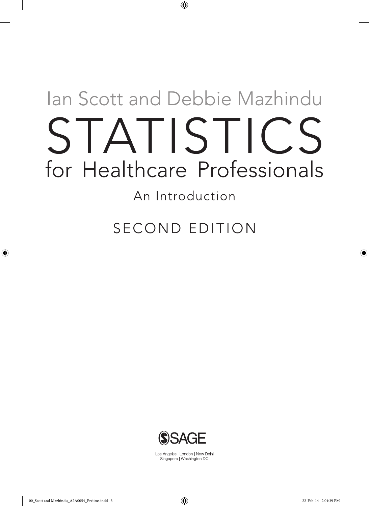# Ian Scott and Debbie Mazhindu STATISTICS for Healthcare Professionals

 $\bigoplus$ 

An Introduction

**SECOND EDITION** 



Los Angeles | London | New Delhi Singapore | Washington DC

⊕

◈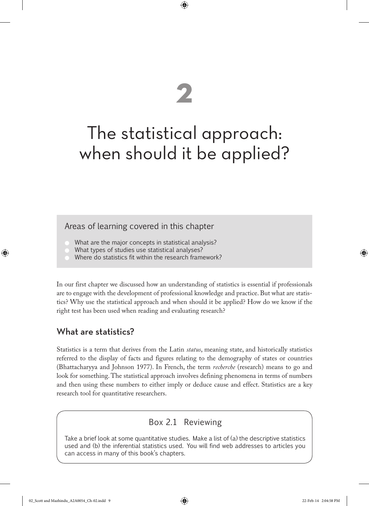# The statistical approach: when should it be applied?

**2**

 $\textcircled{\scriptsize\textsf{P}}$ 

# Areas of learning covered in this chapter

- What are the major concepts in statistical analysis?
- What types of studies use statistical analyses?
- Where do statistics fit within the research framework?

In our first chapter we discussed how an understanding of statistics is essential if professionals are to engage with the development of professional knowledge and practice. But what are statistics? Why use the statistical approach and when should it be applied? How do we know if the right test has been used when reading and evaluating research?

# What are statistics?

♠

Statistics is a term that derives from the Latin *status*, meaning state, and historically statistics referred to the display of facts and figures relating to the demography of states or countries (Bhattacharyya and Johnson 1977). In French, the term *recherche* (research) means to go and look for something. The statistical approach involves defining phenomena in terms of numbers and then using these numbers to either imply or deduce cause and effect. Statistics are a key research tool for quantitative researchers.

# Box 2.1 Reviewing

Take a brief look at some quantitative studies. Make a list of (a) the descriptive statistics used and (b) the inferential statistics used. You will find web addresses to articles you can access in many of this book's chapters.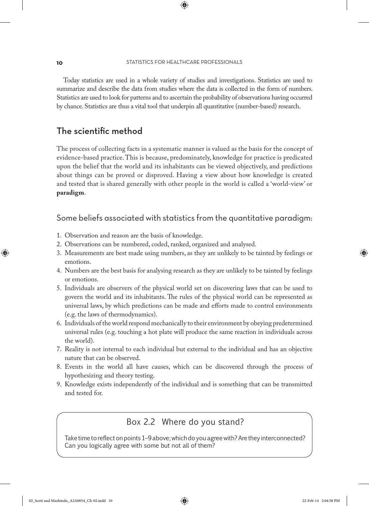#### **10** STATISTICS FOR HEALTHCARE PROFESSIONALS

⊕

Today statistics are used in a whole variety of studies and investigations. Statistics are used to summarize and describe the data from studies where the data is collected in the form of numbers. Statistics are used to look for patterns and to ascertain the probability of observations having occurred by chance. Statistics are thus a vital tool that underpin all quantitative (number-based) research.

# The scientific method

The process of collecting facts in a systematic manner is valued as the basis for the concept of evidence-based practice. This is because, predominately, knowledge for practice is predicated upon the belief that the world and its inhabitants can be viewed objectively, and predictions about things can be proved or disproved. Having a view about how knowledge is created and tested that is shared generally with other people in the world is called a 'world-view' or **paradigm**.

# Some beliefs associated with statistics from the quantitative paradigm:

- 1. Observation and reason are the basis of knowledge.
- 2. Observations can be numbered, coded, ranked, organized and analysed.
- 3. Measurements are best made using numbers, as they are unlikely to be tainted by feelings or emotions.
- 4. Numbers are the best basis for analysing research as they are unlikely to be tainted by feelings or emotions.
- 5. Individuals are observers of the physical world set on discovering laws that can be used to govern the world and its inhabitants. The rules of the physical world can be represented as universal laws, by which predictions can be made and efforts made to control environments (e.g. the laws of thermodynamics).
- 6. Individuals of the world respond mechanically to their environment by obeying predetermined universal rules (e.g. touching a hot plate will produce the same reaction in individuals across the world).
- 7. Reality is not internal to each individual but external to the individual and has an objective nature that can be observed.
- 8. Events in the world all have causes, which can be discovered through the process of hypothesizing and theory testing.
- 9. Knowledge exists independently of the individual and is something that can be transmitted and tested for.

# Box 2.2 Where do you stand?

Take time to reflect on points 1–9 above; which do you agree with? Are they interconnected? Can you logically agree with some but not all of them?

♠

 $\Leftrightarrow$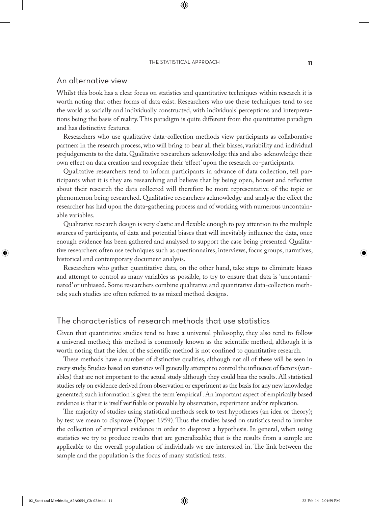#### THE STATISTICAL APPROACH **11**

⊕

### An alternative view

Whilst this book has a clear focus on statistics and quantitative techniques within research it is worth noting that other forms of data exist. Researchers who use these techniques tend to see the world as socially and individually constructed, with individuals' perceptions and interpretations being the basis of reality. This paradigm is quite different from the quantitative paradigm and has distinctive features.

Researchers who use qualitative data-collection methods view participants as collaborative partners in the research process, who will bring to bear all their biases, variability and individual prejudgements to the data. Qualitative researchers acknowledge this and also acknowledge their own effect on data creation and recognize their 'effect' upon the research co-participants.

Qualitative researchers tend to inform participants in advance of data collection, tell participants what it is they are researching and believe that by being open, honest and reflective about their research the data collected will therefore be more representative of the topic or phenomenon being researched. Qualitative researchers acknowledge and analyse the effect the researcher has had upon the data-gathering process and of working with numerous uncontainable variables.

Qualitative research design is very elastic and flexible enough to pay attention to the multiple sources of participants, of data and potential biases that will inevitably influence the data, once enough evidence has been gathered and analysed to support the case being presented. Qualitative researchers often use techniques such as questionnaires, interviews, focus groups, narratives, historical and contemporary document analysis.

Researchers who gather quantitative data, on the other hand, take steps to eliminate biases and attempt to control as many variables as possible, to try to ensure that data is 'uncontaminated' or unbiased. Some researchers combine qualitative and quantitative data-collection methods; such studies are often referred to as mixed method designs.

# The characteristics of research methods that use statistics

Given that quantitative studies tend to have a universal philosophy, they also tend to follow a universal method; this method is commonly known as the scientific method, although it is worth noting that the idea of the scientific method is not confined to quantitative research.

These methods have a number of distinctive qualities, although not all of these will be seen in every study. Studies based on statistics will generally attempt to control the influence of factors (variables) that are not important to the actual study although they could bias the results. All statistical studies rely on evidence derived from observation or experiment as the basis for any new knowledge generated; such information is given the term 'empirical'. An important aspect of empirically based evidence is that it is itself verifiable or provable by observation, experiment and/or replication.

The majority of studies using statistical methods seek to test hypotheses (an idea or theory); by test we mean to disprove (Popper 1959). Thus the studies based on statistics tend to involve the collection of empirical evidence in order to disprove a hypothesis. In general, when using statistics we try to produce results that are generalizable; that is the results from a sample are applicable to the overall population of individuals we are interested in. The link between the sample and the population is the focus of many statistical tests.

♠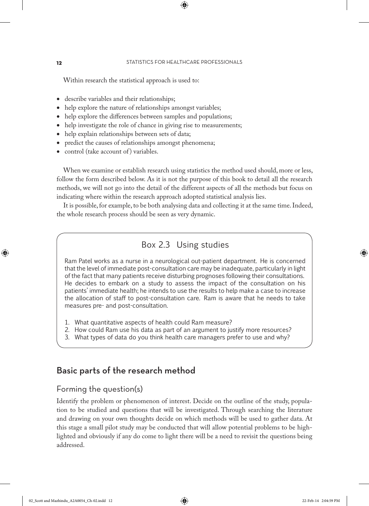#### **12** STATISTICS FOR HEALTHCARE PROFESSIONALS

⊕

Within research the statistical approach is used to:

- describe variables and their relationships;
- help explore the nature of relationships amongst variables;
- help explore the differences between samples and populations;
- help investigate the role of chance in giving rise to measurements;
- help explain relationships between sets of data;
- predict the causes of relationships amongst phenomena;
- control (take account of ) variables.

When we examine or establish research using statistics the method used should, more or less, follow the form described below. As it is not the purpose of this book to detail all the research methods, we will not go into the detail of the different aspects of all the methods but focus on indicating where within the research approach adopted statistical analysis lies.

It is possible, for example, to be both analysing data and collecting it at the same time. Indeed, the whole research process should be seen as very dynamic.

# Box 2.3 Using studies

Ram Patel works as a nurse in a neurological out-patient department. He is concerned that the level of immediate post-consultation care may be inadequate, particularly in light of the fact that many patients receive disturbing prognoses following their consultations. He decides to embark on a study to assess the impact of the consultation on his patients' immediate health; he intends to use the results to help make a case to increase the allocation of staff to post-consultation care. Ram is aware that he needs to take measures pre- and post-consultation.

- 1. What quantitative aspects of health could Ram measure?
- 2. How could Ram use his data as part of an argument to justify more resources?
- 3. What types of data do you think health care managers prefer to use and why?

# Basic parts of the research method

#### Forming the question(s)

Identify the problem or phenomenon of interest. Decide on the outline of the study, population to be studied and questions that will be investigated. Through searching the literature and drawing on your own thoughts decide on which methods will be used to gather data. At this stage a small pilot study may be conducted that will allow potential problems to be highlighted and obviously if any do come to light there will be a need to revisit the questions being addressed.

♠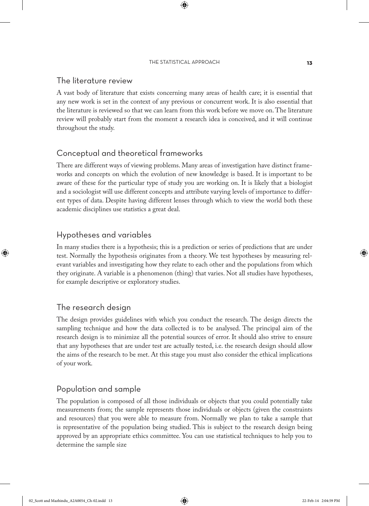#### THE STATISTICAL APPROACH **13**

⊕

# The literature review

A vast body of literature that exists concerning many areas of health care; it is essential that any new work is set in the context of any previous or concurrent work. It is also essential that the literature is reviewed so that we can learn from this work before we move on. The literature review will probably start from the moment a research idea is conceived, and it will continue throughout the study.

# Conceptual and theoretical frameworks

There are different ways of viewing problems. Many areas of investigation have distinct frameworks and concepts on which the evolution of new knowledge is based. It is important to be aware of these for the particular type of study you are working on. It is likely that a biologist and a sociologist will use different concepts and attribute varying levels of importance to different types of data. Despite having different lenses through which to view the world both these academic disciplines use statistics a great deal.

# Hypotheses and variables

In many studies there is a hypothesis; this is a prediction or series of predictions that are under test. Normally the hypothesis originates from a theory. We test hypotheses by measuring relevant variables and investigating how they relate to each other and the populations from which they originate. A variable is a phenomenon (thing) that varies. Not all studies have hypotheses, for example descriptive or exploratory studies.

# The research design

♠

The design provides guidelines with which you conduct the research. The design directs the sampling technique and how the data collected is to be analysed. The principal aim of the research design is to minimize all the potential sources of error. It should also strive to ensure that any hypotheses that are under test are actually tested, i.e. the research design should allow the aims of the research to be met. At this stage you must also consider the ethical implications of your work.

## Population and sample

The population is composed of all those individuals or objects that you could potentially take measurements from; the sample represents those individuals or objects (given the constraints and resources) that you were able to measure from. Normally we plan to take a sample that is representative of the population being studied. This is subject to the research design being approved by an appropriate ethics committee. You can use statistical techniques to help you to determine the sample size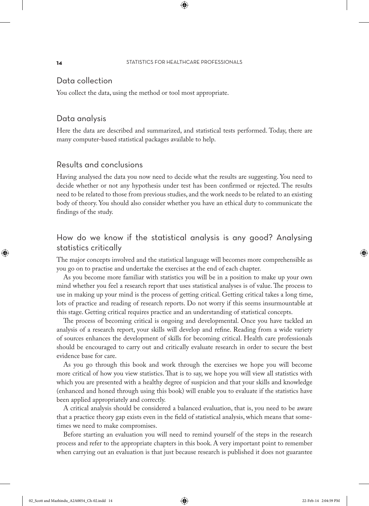#### **14** STATISTICS FOR HEALTHCARE PROFESSIONALS

⊕

# Data collection

You collect the data, using the method or tool most appropriate.

### Data analysis

Here the data are described and summarized, and statistical tests performed. Today, there are many computer-based statistical packages available to help.

# Results and conclusions

Having analysed the data you now need to decide what the results are suggesting. You need to decide whether or not any hypothesis under test has been confirmed or rejected. The results need to be related to those from previous studies, and the work needs to be related to an existing body of theory. You should also consider whether you have an ethical duty to communicate the findings of the study.

# How do we know if the statistical analysis is any good? Analysing statistics critically

The major concepts involved and the statistical language will becomes more comprehensible as you go on to practise and undertake the exercises at the end of each chapter.

As you become more familiar with statistics you will be in a position to make up your own mind whether you feel a research report that uses statistical analyses is of value. The process to use in making up your mind is the process of getting critical. Getting critical takes a long time, lots of practice and reading of research reports. Do not worry if this seems insurmountable at this stage. Getting critical requires practice and an understanding of statistical concepts.

The process of becoming critical is ongoing and developmental. Once you have tackled an analysis of a research report, your skills will develop and refine. Reading from a wide variety of sources enhances the development of skills for becoming critical. Health care professionals should be encouraged to carry out and critically evaluate research in order to secure the best evidence base for care.

As you go through this book and work through the exercises we hope you will become more critical of how you view statistics. That is to say, we hope you will view all statistics with which you are presented with a healthy degree of suspicion and that your skills and knowledge (enhanced and honed through using this book) will enable you to evaluate if the statistics have been applied appropriately and correctly.

A critical analysis should be considered a balanced evaluation, that is, you need to be aware that a practice theory gap exists even in the field of statistical analysis, which means that sometimes we need to make compromises.

Before starting an evaluation you will need to remind yourself of the steps in the research process and refer to the appropriate chapters in this book. A very important point to remember when carrying out an evaluation is that just because research is published it does not guarantee

♠